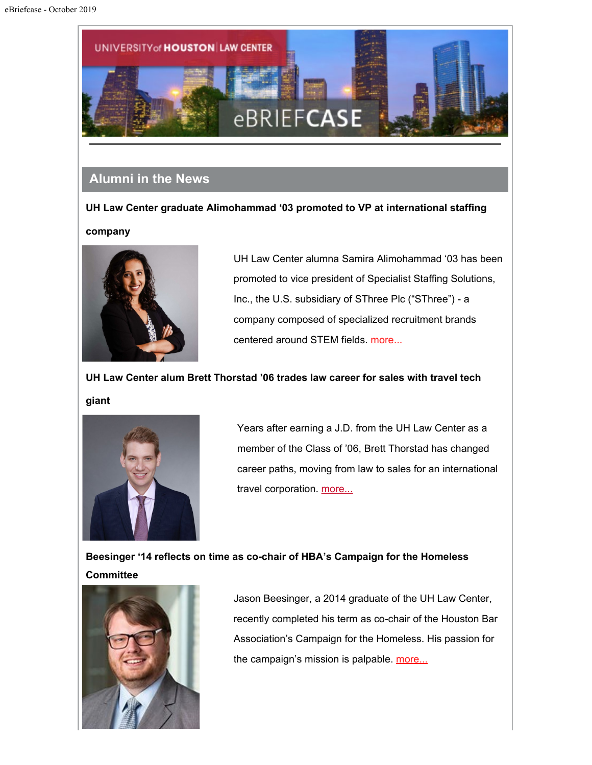

# **Alumni in the News**

**UH Law Center graduate Alimohammad '03 promoted to VP at international staffing company**



UH Law Center alumna Samira Alimohammad '03 has been promoted to vice president of Specialist Staffing Solutions, Inc., the U.S. subsidiary of SThree Plc ("SThree") - a company composed of specialized recruitment brands centered around STEM fields. [more...](http://uhouston.imodules.com/redirect.aspx?linkID=1998657&sendId=779643&eid=293047&gid=31)

**UH Law Center alum Brett Thorstad '06 trades law career for sales with travel tech**

**giant**



Years after earning a J.D. from the UH Law Center as a member of the Class of '06, Brett Thorstad has changed career paths, moving from law to sales for an international travel corporation. [more...](http://uhouston.imodules.com/redirect.aspx?linkID=1998656&sendId=779643&eid=293047&gid=31)

**Beesinger '14 reflects on time as co-chair of HBA's Campaign for the Homeless Committee**



Jason Beesinger, a 2014 graduate of the UH Law Center, recently completed his term as co-chair of the Houston Bar Association's Campaign for the Homeless. His passion for the campaign's mission is palpable. [more...](http://uhouston.imodules.com/redirect.aspx?linkID=1998655&sendId=779643&eid=293047&gid=31)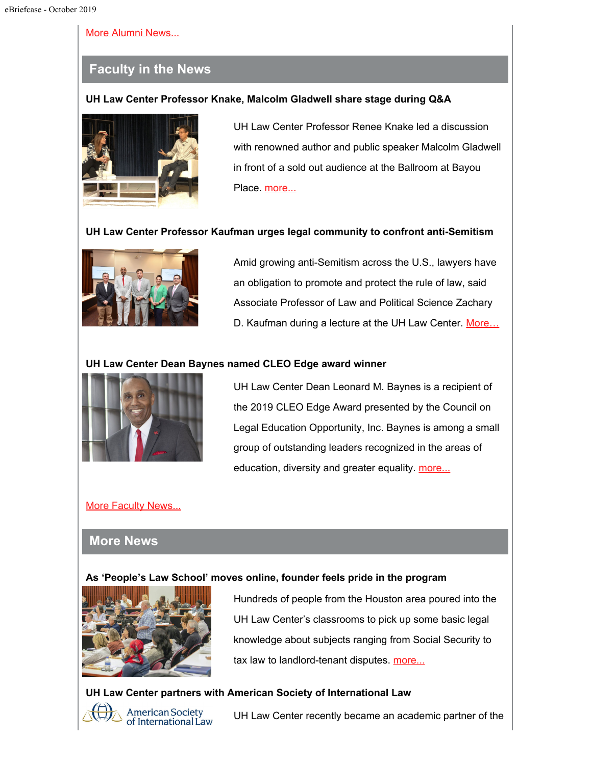#### [More Alumni News...](http://uhouston.imodules.com/redirect.aspx?linkID=1998654&sendId=779643&eid=293047&gid=31)

# **Faculty in the News**

### **UH Law Center Professor Knake, Malcolm Gladwell share stage during Q&A**



UH Law Center Professor Renee Knake led a discussion with renowned author and public speaker Malcolm Gladwell in front of a sold out audience at the Ballroom at Bayou Place. [more...](http://uhouston.imodules.com/redirect.aspx?linkID=1998653&sendId=779643&eid=293047&gid=31)

## **UH Law Center Professor Kaufman urges legal community to confront anti-Semitism**



Amid growing anti-Semitism across the U.S., lawyers have an obligation to promote and protect the rule of law, said Associate Professor of Law and Political Science Zachary D. Kaufman during a lecture at the UH Law Center. More...

### **UH Law Center Dean Baynes named CLEO Edge award winner**



UH Law Center Dean Leonard M. Baynes is a recipient of the 2019 CLEO Edge Award presented by the Council on Legal Education Opportunity, Inc. Baynes is among a small group of outstanding leaders recognized in the areas of education, diversity and greater equality. [more...](http://uhouston.imodules.com/redirect.aspx?linkID=1998651&sendId=779643&eid=293047&gid=31)

## [More Faculty News...](http://uhouston.imodules.com/redirect.aspx?linkID=1998650&sendId=779643&eid=293047&gid=31)

## **More News**

#### **As 'People's Law School' moves online, founder feels pride in the program**



Hundreds of people from the Houston area poured into the UH Law Center's classrooms to pick up some basic legal knowledge about subjects ranging from Social Security to tax law to landlord-tenant disputes. [more...](http://uhouston.imodules.com/redirect.aspx?linkID=1998649&sendId=779643&eid=293047&gid=31)

## **UH Law Center partners with American Society of International Law**



**American Society** of International Law

UH Law Center recently became an academic partner of the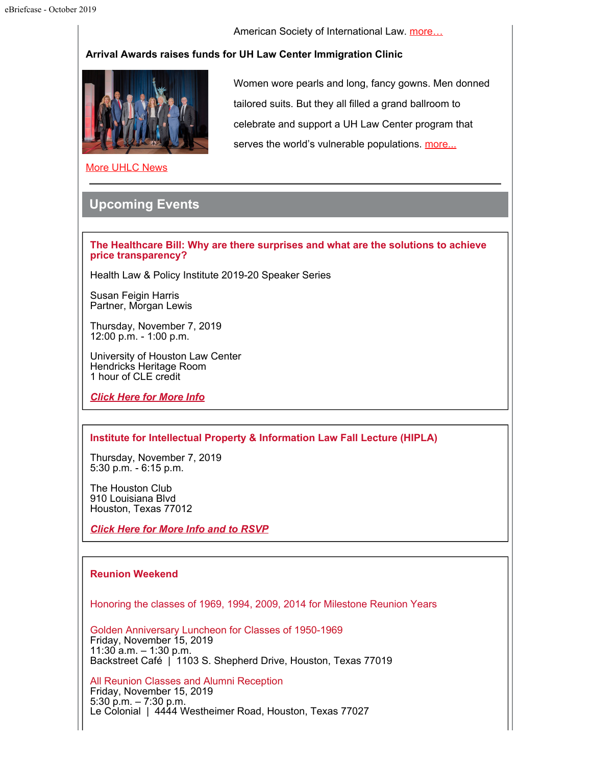American Society of International Law. more...

#### **Arrival Awards raises funds for UH Law Center Immigration Clinic**



Women wore pearls and long, fancy gowns. Men donned tailored suits. But they all filled a grand ballroom to celebrate and support a UH Law Center program that serves the world's vulnerable populations. [more...](http://uhouston.imodules.com/redirect.aspx?linkID=1998647&sendId=779643&eid=293047&gid=31)

[More UHLC News](http://uhouston.imodules.com/redirect.aspx?linkID=1998646&sendId=779643&eid=293047&gid=31)

# **Upcoming Events**

**The Healthcare Bill: Why are there surprises and what are the solutions to achieve price transparency?**

Health Law & Policy Institute 2019-20 Speaker Series

Susan Feigin Harris Partner, Morgan Lewis

Thursday, November 7, 2019 12:00 p.m. - 1:00 p.m.

University of Houston Law Center Hendricks Heritage Room 1 hour of CLE credit

*[Click Here for More Info](http://uhouston.imodules.com/redirect.aspx?linkID=1998645&sendId=779643&eid=293047&gid=31)*

#### **Institute for Intellectual Property & Information Law Fall Lecture (HIPLA)**

Thursday, November 7, 2019 5:30 p.m. - 6:15 p.m.

The Houston Club 910 Louisiana Blvd Houston, Texas 77012

*[Click Here for More Info and to RSVP](http://uhouston.imodules.com/redirect.aspx?linkID=1998644&sendId=779643&eid=293047&gid=31)*

#### **Reunion Weekend**

Honoring the classes of 1969, 1994, 2009, 2014 for Milestone Reunion Years

Golden Anniversary Luncheon for Classes of 1950-1969 Friday, November 15, 2019 11:30 a.m. – 1:30 p.m. Backstreet Café | 1103 S. Shepherd Drive, Houston, Texas 77019

All Reunion Classes and Alumni Reception Friday, November 15, 2019 5:30 p.m. – 7:30 p.m. Le Colonial | 4444 Westheimer Road, Houston, Texas 77027